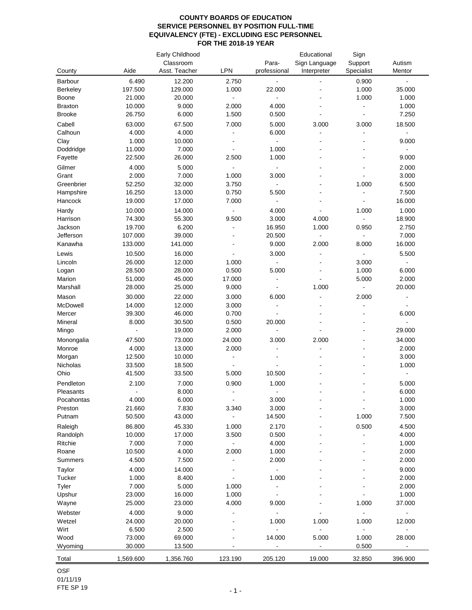| County              | Aide             | Early Childhood<br>Classroom<br>Asst. Teacher | LPN            | Para-<br>professional    | Educational<br>Sign Language<br>Interpreter | Sign<br>Support<br>Specialist | Autism<br>Mentor             |
|---------------------|------------------|-----------------------------------------------|----------------|--------------------------|---------------------------------------------|-------------------------------|------------------------------|
| Barbour             | 6.490            | 12.200                                        | 2.750          | $\blacksquare$           |                                             | 0.900                         | ÷.                           |
| Berkeley            | 197.500          | 129.000                                       | 1.000          | 22.000                   |                                             | 1.000                         | 35.000                       |
| Boone               | 21.000           | 20.000                                        | ÷              |                          |                                             | 1.000                         | 1.000                        |
| <b>Braxton</b>      | 10.000           | 9.000                                         | 2.000          | 4.000                    |                                             |                               | 1.000                        |
| <b>Brooke</b>       | 26.750           | 6.000                                         | 1.500          | 0.500                    |                                             | $\blacksquare$                | 7.250                        |
| Cabell              | 63.000           | 67.500                                        | 7.000          | 5.000                    | 3.000                                       | 3.000                         | 18.500                       |
| Calhoun             | 4.000            | 4.000                                         | ÷              | 6.000                    |                                             |                               | $\blacksquare$               |
| Clay                | 1.000            | 10.000                                        |                | $\blacksquare$           |                                             |                               | 9.000                        |
| Doddridge           | 11.000           | 7.000                                         | $\blacksquare$ | 1.000                    |                                             |                               | $\blacksquare$               |
| Fayette             | 22.500           | 26.000                                        | 2.500          | 1.000                    |                                             |                               | 9.000                        |
| Gilmer              | 4.000            | 5.000                                         |                |                          |                                             |                               | 2.000                        |
| Grant               | 2.000            | 7.000                                         | 1.000          | 3.000                    |                                             |                               | 3.000                        |
| Greenbrier          | 52.250           | 32.000                                        | 3.750          | $\blacksquare$           |                                             | 1.000                         | 6.500                        |
| Hampshire           | 16.250           | 13.000                                        | 0.750          | 5.500<br>$\blacksquare$  |                                             | $\blacksquare$                | 7.500                        |
| Hancock             | 19.000           | 17.000                                        | 7.000          |                          |                                             |                               | 16.000                       |
| Hardy               | 10.000           | 14.000                                        | $\blacksquare$ | 4.000                    |                                             | 1.000                         | 1.000                        |
| Harrison<br>Jackson | 74.300<br>19.700 | 55.300<br>6.200                               | 9.500<br>÷,    | 3.000<br>16.950          | 4.000<br>1.000                              | $\blacksquare$<br>0.950       | 18.900<br>2.750              |
| Jefferson           | 107.000          | 39.000                                        |                | 20.500                   | $\blacksquare$                              | $\blacksquare$                | 7.000                        |
| Kanawha             | 133.000          | 141.000                                       |                | 9.000                    | 2.000                                       | 8.000                         | 16.000                       |
| Lewis               | 10.500           | 16.000                                        |                | 3.000                    |                                             |                               | 5.500                        |
| Lincoln             | 26.000           | 12.000                                        | 1.000          | $\blacksquare$           |                                             | 3.000                         | $\blacksquare$               |
| Logan               | 28.500           | 28.000                                        | 0.500          | 5.000                    |                                             | 1.000                         | 6.000                        |
| Marion              | 51.000           | 45.000                                        | 17.000         |                          |                                             | 5.000                         | 2.000                        |
| Marshall            | 28.000           | 25.000                                        | 9.000          |                          | 1.000                                       | $\blacksquare$                | 20.000                       |
| Mason               | 30.000           | 22.000                                        | 3.000          | 6.000                    |                                             | 2.000                         | $\qquad \qquad \blacksquare$ |
| McDowell            | 14.000           | 12.000                                        | 3.000          | $\blacksquare$           |                                             |                               |                              |
| Mercer              | 39.300           | 46.000                                        | 0.700          |                          |                                             |                               | 6.000                        |
| Mineral             | 8.000            | 30.500                                        | 0.500          | 20.000                   |                                             |                               | $\blacksquare$               |
| Mingo               | $\blacksquare$   | 19.000                                        | 2.000          | $\overline{a}$           |                                             |                               | 29.000                       |
| Monongalia          | 47.500           | 73.000                                        | 24.000         | 3.000                    | 2.000                                       |                               | 34.000                       |
| Monroe              | 4.000            | 13.000                                        | 2.000          | $\blacksquare$           |                                             |                               | 2.000                        |
| Morgan              | 12.500           | 10.000                                        | $\blacksquare$ |                          |                                             |                               | 3.000                        |
| Nicholas            | 33.500           | 18.500                                        |                |                          |                                             |                               | 1.000                        |
| Ohio                | 41.500           | 33.500                                        | 5.000          | 10.500                   |                                             |                               | $\blacksquare$               |
| Pendleton           | 2.100            | 7.000                                         | 0.900          | 1.000                    |                                             |                               | 5.000                        |
| Pleasants           | $\blacksquare$   | 8.000                                         | $\blacksquare$ | $\blacksquare$           |                                             |                               | 6.000                        |
| Pocahontas          | 4.000            | 6.000                                         | ÷,             | 3.000                    |                                             |                               | 1.000                        |
| Preston             | 21.660           | 7.830                                         | 3.340          | 3.000                    |                                             |                               | 3.000                        |
| Putnam              | 50.500           | 43.000                                        |                | 14.500                   |                                             | 1.000                         | 7.500                        |
| Raleigh             | 86.800           | 45.330                                        | 1.000          | 2.170                    |                                             | 0.500                         | 4.500                        |
| Randolph            | 10.000           | 17.000                                        | 3.500          | 0.500                    |                                             |                               | 4.000                        |
| Ritchie             | 7.000            | 7.000                                         |                | 4.000                    |                                             |                               | 1.000                        |
| Roane               | 10.500           | 4.000                                         | 2.000          | 1.000                    |                                             |                               | 2.000                        |
| Summers             | 4.500            | 7.500                                         |                | 2.000                    |                                             |                               | 2.000                        |
| Taylor              | 4.000            | 14.000                                        |                | $\blacksquare$           |                                             |                               | 9.000                        |
| Tucker              | 1.000            | 8.400                                         |                | 1.000                    |                                             |                               | 2.000                        |
| Tyler               | 7.000            | 5.000                                         | 1.000          | $\blacksquare$           |                                             |                               | 2.000                        |
| Upshur              | 23.000           | 16.000                                        | 1.000          | $\blacksquare$           |                                             |                               | 1.000                        |
| Wayne               | 25.000           | 23.000                                        | 4.000          | 9.000                    |                                             | 1.000                         | 37.000                       |
| Webster             | 4.000            | 9.000                                         |                |                          |                                             |                               |                              |
| Wetzel              | 24.000           | 20.000                                        |                | 1.000                    | 1.000                                       | 1.000                         | 12.000                       |
| Wirt                | 6.500            | 2.500                                         |                | $\blacksquare$           | $\blacksquare$                              | $\blacksquare$                | $\blacksquare$               |
| Wood<br>Wyoming     | 73.000<br>30.000 | 69.000<br>13.500                              |                | 14.000<br>$\blacksquare$ | 5.000<br>$\blacksquare$                     | 1.000<br>0.500                | 28.000<br>$\blacksquare$     |
|                     |                  |                                               |                |                          |                                             |                               |                              |
| Total               | 1,569.600        | 1,356.760                                     | 123.190        | 205.120                  | 19.000                                      | 32.850                        | 396.900                      |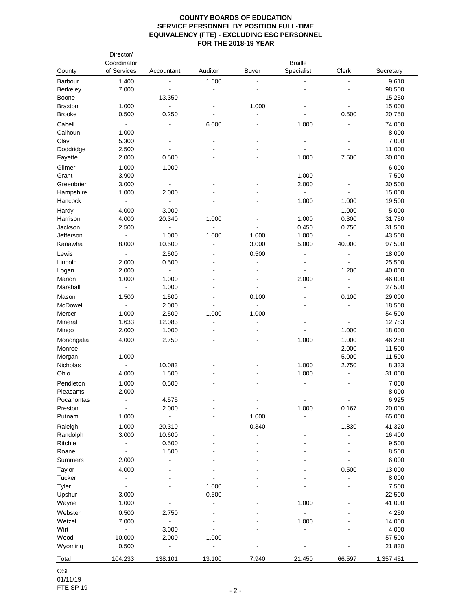|                  | Director/<br>Coordinator |                              |                              |                          | <b>Braille</b>               |                |                  |
|------------------|--------------------------|------------------------------|------------------------------|--------------------------|------------------------------|----------------|------------------|
| County           | of Services              | Accountant                   | Auditor                      | <b>Buyer</b>             | Specialist                   | Clerk          | Secretary        |
| Barbour          | 1.400                    |                              | 1.600                        | $\blacksquare$           |                              | $\blacksquare$ | 9.610            |
| Berkeley         | 7.000                    | $\blacksquare$               | $\blacksquare$               |                          |                              |                | 98.500           |
| Boone            | $\blacksquare$           | 13.350                       |                              |                          |                              |                | 15.250           |
| <b>Braxton</b>   | 1.000                    |                              |                              | 1.000                    |                              |                | 15.000           |
| <b>Brooke</b>    | 0.500                    | 0.250                        | $\overline{a}$               | ÷                        |                              | 0.500          | 20.750           |
| Cabell           |                          |                              | 6.000                        |                          | 1.000                        |                | 74.000           |
| Calhoun          | 1.000                    |                              |                              |                          | $\blacksquare$               |                | 8.000            |
| Clay             | 5.300                    |                              |                              |                          | $\blacksquare$               |                | 7.000            |
| Doddridge        | 2.500                    |                              |                              |                          | $\blacksquare$               |                | 11.000           |
| Fayette          | 2.000                    | 0.500                        |                              |                          | 1.000                        | 7.500          | 30.000           |
| Gilmer           | 1.000                    | 1.000                        |                              |                          | $\blacksquare$               |                | 6.000            |
| Grant            | 3.900                    | $\ddot{\phantom{a}}$         |                              |                          | 1.000                        |                | 7.500            |
| Greenbrier       | 3.000                    |                              |                              |                          | 2.000                        |                | 30.500           |
| Hampshire        | 1.000                    | 2.000                        |                              |                          | $\Box$                       |                | 15.000           |
| Hancock          | $\blacksquare$           | $\blacksquare$               |                              |                          | 1.000                        | 1.000          | 19.500           |
| Hardy            | 4.000                    | 3.000                        |                              |                          | $\blacksquare$               | 1.000          | 5.000            |
| Harrison         | 4.000                    | 20.340                       | 1.000                        |                          | 1.000                        | 0.300          | 31.750           |
| Jackson          | 2.500                    |                              | $\blacksquare$               |                          | 0.450                        | 0.750          | 31.500           |
| Jefferson        | $\blacksquare$           | 1.000                        | 1.000                        | 1.000                    | 1.000                        | ÷,             | 43.500           |
| Kanawha          | 8.000                    | 10.500                       | $\overline{a}$               | 3.000                    | 5.000                        | 40.000         | 97.500           |
|                  |                          |                              |                              |                          |                              |                |                  |
| Lewis<br>Lincoln | 2.000                    | 2.500<br>0.500               |                              | 0.500<br>$\blacksquare$  | $\blacksquare$               |                | 18.000<br>25.500 |
|                  |                          |                              |                              |                          |                              |                |                  |
| Logan            | 2.000                    | $\blacksquare$               |                              |                          | $\qquad \qquad \blacksquare$ | 1.200          | 40.000           |
| Marion           | 1.000                    | 1.000                        |                              |                          | 2.000                        | $\blacksquare$ | 46.000           |
| Marshall         |                          | 1.000                        |                              |                          | $\ddot{\phantom{a}}$         |                | 27.500           |
| Mason            | 1.500                    | 1.500                        |                              | 0.100                    |                              | 0.100          | 29.000           |
| McDowell         |                          | 2.000                        |                              | $\ddot{\phantom{a}}$     |                              | ÷,             | 18.500           |
| Mercer           | 1.000                    | 2.500                        | 1.000                        | 1.000                    |                              |                | 54.500           |
| Mineral          | 1.633                    | 12.083                       |                              | ÷,                       |                              |                | 12.783           |
| Mingo            | 2.000                    | 1.000                        |                              |                          |                              | 1.000          | 18.000           |
| Monongalia       | 4.000                    | 2.750                        |                              |                          | 1.000                        | 1.000          | 46.250           |
| Monroe           | $\blacksquare$           | $\overline{\phantom{a}}$     |                              |                          | $\blacksquare$               | 2.000          | 11.500           |
| Morgan           | 1.000                    | $\blacksquare$               |                              |                          | $\blacksquare$               | 5.000          | 11.500           |
| Nicholas         | $\blacksquare$           | 10.083                       |                              |                          | 1.000                        | 2.750          | 8.333            |
| Ohio             | 4.000                    | 1.500                        |                              |                          | 1.000                        |                | 31.000           |
| Pendleton        | 1.000                    | 0.500                        |                              |                          |                              |                | 7.000            |
| Pleasants        | 2.000                    | $\blacksquare$               |                              |                          | $\blacksquare$               | $\overline{a}$ | 8.000            |
| Pocahontas       |                          | 4.575                        |                              | $\overline{\phantom{0}}$ | $\blacksquare$               | $\frac{1}{2}$  | 6.925            |
| Preston          |                          | 2.000                        |                              |                          | 1.000                        | 0.167          | 20.000           |
| Putnam           | 1.000                    | $\overline{\phantom{a}}$     |                              | 1.000                    | $\blacksquare$               |                | 65.000           |
| Raleigh          | 1.000                    | 20.310                       |                              | 0.340                    |                              | 1.830          | 41.320           |
| Randolph         | 3.000                    | 10.600                       |                              |                          |                              |                | 16.400           |
| Ritchie          |                          | 0.500                        |                              |                          |                              |                | 9.500            |
| Roane            | $\overline{a}$           | 1.500                        |                              |                          |                              |                | 8.500            |
| Summers          | 2.000                    |                              |                              |                          |                              |                | 6.000            |
|                  |                          |                              |                              |                          |                              |                |                  |
| Taylor           | 4.000                    |                              |                              |                          |                              | 0.500          | 13.000           |
| Tucker           |                          |                              |                              |                          |                              |                | 8.000            |
| Tyler            |                          |                              | 1.000                        |                          |                              |                | 7.500            |
| Upshur           | 3.000                    |                              | 0.500                        |                          |                              |                | 22.500           |
| Wayne            | 1.000                    |                              |                              |                          | 1.000                        |                | 41.000           |
| Webster          | 0.500                    | 2.750                        |                              |                          |                              |                | 4.250            |
| Wetzel           | 7.000                    | $\qquad \qquad \blacksquare$ |                              |                          | 1.000                        |                | 14.000           |
| Wirt             | ÷,                       | 3.000                        |                              |                          | $\overline{a}$               |                | 4.000            |
| Wood             | 10.000                   | 2.000                        | 1.000                        |                          |                              |                | 57.500           |
| Wyoming          | 0.500                    | $\blacksquare$               | $\qquad \qquad \blacksquare$ |                          |                              |                | 21.830           |
| Total            | 104.233                  | 138.101                      | 13.100                       | 7.940                    | 21.450                       | 66.597         | 1,357.451        |
|                  |                          |                              |                              |                          |                              |                |                  |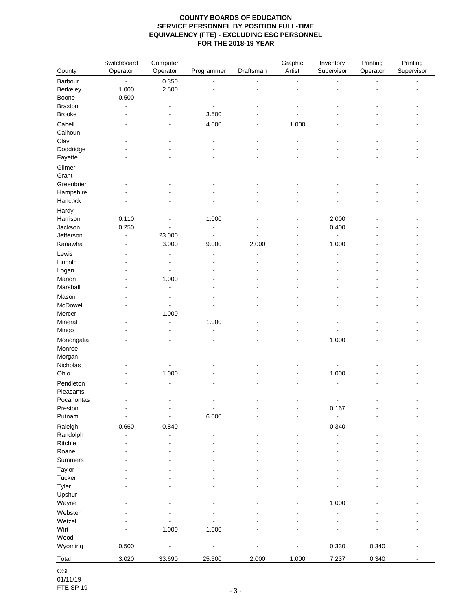|                   | Switchboard | Computer                 |                          |           | Graphic | Inventory  | Printing       | Printing   |
|-------------------|-------------|--------------------------|--------------------------|-----------|---------|------------|----------------|------------|
| County            | Operator    | Operator                 | Programmer               | Draftsman | Artist  | Supervisor | Operator       | Supervisor |
| Barbour           |             | 0.350                    |                          |           |         |            | $\overline{a}$ |            |
| Berkeley          | 1.000       | 2.500                    |                          |           |         |            |                |            |
| Boone             | 0.500       | ÷,                       |                          |           |         |            |                |            |
| <b>Braxton</b>    |             |                          |                          |           |         |            |                |            |
| <b>Brooke</b>     |             |                          | 3.500                    |           |         |            |                |            |
| Cabell            |             |                          | 4.000                    |           | 1.000   |            |                |            |
| Calhoun           |             |                          |                          |           | L,      |            |                |            |
| Clay              |             |                          |                          |           |         |            |                |            |
| Doddridge         |             |                          |                          |           |         |            |                |            |
| Fayette           |             |                          |                          |           |         |            |                |            |
| Gilmer            |             |                          |                          |           |         |            |                |            |
| Grant             |             |                          |                          |           |         |            |                |            |
| Greenbrier        |             |                          |                          |           |         |            |                |            |
| Hampshire         |             |                          |                          |           |         |            |                |            |
| Hancock           |             |                          |                          |           |         |            |                |            |
| Hardy             |             |                          |                          |           |         |            |                |            |
| Harrison          | 0.110       |                          | 1.000                    |           |         | 2.000      |                |            |
| Jackson           | 0.250       |                          | -                        |           |         | 0.400      |                |            |
| Jefferson         |             | 23.000                   | L,                       |           |         |            |                |            |
| Kanawha           |             | 3.000                    | 9.000                    | 2.000     |         | 1.000      |                |            |
| Lewis             |             |                          |                          |           |         |            |                |            |
| Lincoln           |             |                          |                          |           |         |            |                |            |
| Logan             |             |                          |                          |           |         |            |                |            |
| Marion            |             | 1.000                    |                          |           |         |            |                |            |
| Marshall          |             | $\blacksquare$           |                          |           |         |            |                |            |
| Mason             |             |                          |                          |           |         |            |                |            |
| McDowell          |             |                          |                          |           |         |            |                |            |
| Mercer            |             | 1.000                    |                          |           |         |            |                |            |
| Mineral           |             |                          | 1.000                    |           |         |            |                |            |
| Mingo             |             |                          |                          |           |         |            |                |            |
| Monongalia        |             |                          |                          |           |         | 1.000      |                |            |
| Monroe            |             |                          |                          |           |         |            |                |            |
| Morgan            |             |                          |                          |           |         |            |                |            |
| Nicholas          |             |                          |                          |           |         |            |                |            |
| Ohio              |             | 1.000                    |                          |           |         | 1.000      |                |            |
| Pendleton         |             |                          |                          |           |         |            |                |            |
| Pleasants         |             |                          |                          |           |         |            |                |            |
| Pocahontas        |             |                          |                          |           |         |            |                |            |
| Preston<br>Putnam |             | $\overline{\phantom{0}}$ | $\blacksquare$<br>6.000  |           |         | 0.167      |                |            |
|                   |             |                          |                          |           |         |            |                |            |
| Raleigh           | 0.660       | 0.840                    |                          |           |         | 0.340      |                |            |
| Randolph          |             | Ĭ.                       |                          |           |         |            |                |            |
| Ritchie           |             |                          |                          |           |         |            |                |            |
| Roane<br>Summers  |             |                          |                          |           |         |            |                |            |
|                   |             |                          |                          |           |         |            |                |            |
| Taylor            |             |                          |                          |           |         |            |                |            |
| Tucker<br>Tyler   |             |                          |                          |           |         |            |                |            |
|                   |             |                          |                          |           |         |            |                |            |
| Upshur<br>Wayne   |             |                          |                          |           |         | 1.000      |                |            |
|                   |             |                          |                          |           |         |            |                |            |
| Webster           |             |                          |                          |           |         |            |                |            |
| Wetzel<br>Wirt    |             |                          |                          |           |         |            |                |            |
| Wood              |             | 1.000                    | 1.000<br>$\blacksquare$  |           |         |            |                |            |
| Wyoming           | 0.500       | $\overline{a}$           | $\overline{\phantom{a}}$ |           |         | 0.330      | 0.340          |            |
|                   |             |                          |                          | 2.000     | 1.000   |            |                |            |
| Total             | 3.020       | 33.690                   | 25.500                   |           |         | 7.237      | 0.340          |            |

OSF 01/11/19 FTE SP 19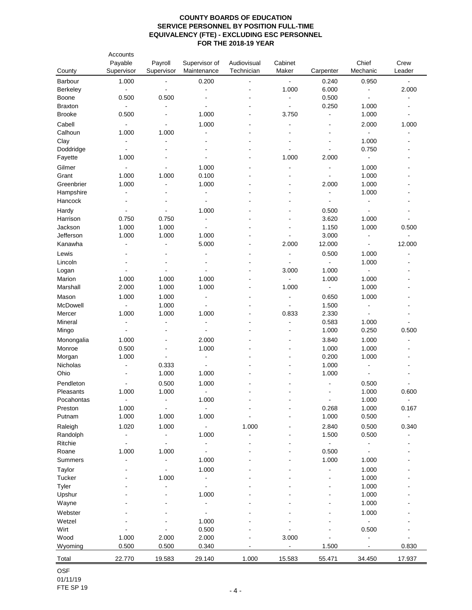| County               | Accounts<br>Payable<br>Supervisor | Payroll<br>Supervisor             | Supervisor of<br>Maintenance     | Audiovisual<br>Technician | Cabinet<br>Maker | Carpenter                                      | Chief<br>Mechanic       | Crew<br>Leader |
|----------------------|-----------------------------------|-----------------------------------|----------------------------------|---------------------------|------------------|------------------------------------------------|-------------------------|----------------|
| Barbour              | 1.000                             | $\blacksquare$                    | 0.200                            |                           | $\blacksquare$   | 0.240                                          | 0.950                   | $\blacksquare$ |
| Berkeley             | $\blacksquare$                    | $\blacksquare$                    | $\blacksquare$                   |                           | 1.000            | 6.000                                          | $\blacksquare$          | 2.000          |
| Boone                | 0.500                             | 0.500                             | L,                               |                           | $\blacksquare$   | 0.500                                          | $\blacksquare$          | $\blacksquare$ |
| <b>Braxton</b>       | $\blacksquare$                    | $\blacksquare$                    | $\blacksquare$                   |                           | $\blacksquare$   | 0.250                                          | 1.000                   |                |
| <b>Brooke</b>        | 0.500                             | $\overline{\phantom{a}}$          | 1.000                            |                           | 3.750            | $\blacksquare$                                 | 1.000                   | $\blacksquare$ |
| Cabell               | $\blacksquare$                    | $\blacksquare$                    | 1.000                            |                           |                  | $\overline{a}$                                 | 2.000                   | 1.000          |
| Calhoun              | 1.000                             | 1.000                             | $\blacksquare$                   |                           |                  | $\blacksquare$                                 | $\blacksquare$          |                |
| Clay                 | $\blacksquare$                    | $\blacksquare$                    | $\overline{a}$                   |                           | $\blacksquare$   | $\overline{a}$                                 | 1.000                   | ÷.             |
| Doddridge<br>Fayette | $\blacksquare$<br>1.000           |                                   | $\blacksquare$                   |                           | ÷,<br>1.000      | $\blacksquare$<br>2.000                        | 0.750<br>$\blacksquare$ | ä,             |
|                      |                                   |                                   |                                  |                           |                  |                                                |                         |                |
| Gilmer<br>Grant      | $\blacksquare$<br>1.000           | $\overline{\phantom{a}}$<br>1.000 | 1.000<br>0.100                   |                           |                  | $\qquad \qquad \blacksquare$<br>$\blacksquare$ | 1.000<br>1.000          |                |
| Greenbrier           | 1.000                             |                                   | 1.000                            |                           |                  | 2.000                                          | 1.000                   |                |
| Hampshire            | $\blacksquare$                    |                                   | $\blacksquare$                   |                           |                  | $\blacksquare$                                 | 1.000                   |                |
| Hancock              |                                   |                                   | $\blacksquare$                   |                           |                  | $\blacksquare$                                 | $\blacksquare$          |                |
| Hardy                | $\blacksquare$                    | $\blacksquare$                    | 1.000                            |                           |                  | 0.500                                          | $\blacksquare$          |                |
| Harrison             | 0.750                             | 0.750                             | $\blacksquare$                   |                           |                  | 3.620                                          | 1.000                   |                |
| Jackson              | 1.000                             | 1.000                             | $\blacksquare$                   |                           | $\blacksquare$   | 1.150                                          | 1.000                   | 0.500          |
| Jefferson            | 1.000                             | 1.000                             | 1.000                            |                           | $\blacksquare$   | 3.000                                          | $\blacksquare$          | $\blacksquare$ |
| Kanawha              | $\overline{a}$                    | $\overline{a}$                    | 5.000                            |                           | 2.000            | 12.000                                         | $\blacksquare$          | 12.000         |
| Lewis                |                                   |                                   |                                  |                           | $\overline{a}$   | 0.500                                          | 1.000                   |                |
| Lincoln              |                                   |                                   |                                  |                           | $\blacksquare$   | $\blacksquare$                                 | 1.000                   |                |
| Logan                | $\overline{\phantom{a}}$          | $\overline{\phantom{a}}$          | $\blacksquare$                   | L,                        | 3.000            | 1.000                                          | $\blacksquare$          |                |
| Marion               | 1.000                             | 1.000                             | 1.000                            |                           | $\frac{1}{2}$    | 1.000                                          | 1.000                   |                |
| Marshall             | 2.000                             | 1.000                             | 1.000                            | L,                        | 1.000            | $\blacksquare$                                 | 1.000                   |                |
| Mason                | 1.000                             | 1.000                             | $\blacksquare$                   | $\blacksquare$            | $\blacksquare$   | 0.650                                          | 1.000                   | ۰              |
| McDowell             | $\overline{\phantom{a}}$          | 1.000                             | $\blacksquare$                   |                           | $\overline{a}$   | 1.500                                          | $\blacksquare$          |                |
| Mercer               | 1.000<br>$\blacksquare$           | 1.000<br>÷,                       | 1.000<br>$\blacksquare$          |                           | 0.833<br>÷,      | 2.330<br>0.583                                 | $\mathbf{r}$<br>1.000   |                |
| Mineral<br>Mingo     | $\blacksquare$                    |                                   | $\blacksquare$                   |                           |                  | 1.000                                          | 0.250                   | 0.500          |
|                      | 1.000                             |                                   | 2.000                            |                           |                  | 3.840                                          | 1.000                   |                |
| Monongalia<br>Monroe | 0.500                             |                                   | 1.000                            |                           |                  | 1.000                                          | 1.000                   |                |
| Morgan               | 1.000                             | $\overline{\phantom{a}}$          | $\blacksquare$                   |                           |                  | 0.200                                          | 1.000                   |                |
| Nicholas             | $\overline{\phantom{a}}$          | 0.333                             | $\blacksquare$                   |                           |                  | 1.000                                          | $\blacksquare$          |                |
| Ohio                 |                                   | 1.000                             | 1.000                            |                           |                  | 1.000                                          | $\blacksquare$          |                |
| Pendleton            |                                   | 0.500                             | 1.000                            |                           |                  | $\blacksquare$                                 | 0.500                   |                |
| Pleasants            | 1.000                             | 1.000                             | $\blacksquare$                   |                           |                  | $\blacksquare$                                 | 1.000                   | 0.600          |
| Pocahontas           | $\Box$                            |                                   | 1.000                            |                           |                  | $\blacksquare$                                 | 1.000                   | $\frac{1}{2}$  |
| Preston              | 1.000                             |                                   | $\overline{a}$                   |                           |                  | 0.268                                          | 1.000                   | 0.167          |
| Putnam               | 1.000                             | 1.000                             | 1.000                            |                           |                  | 1.000                                          | 0.500                   | $\blacksquare$ |
| Raleigh              | 1.020                             | 1.000                             | $\blacksquare$                   | 1.000                     |                  | 2.840                                          | 0.500                   | 0.340          |
| Randolph             | $\overline{\phantom{a}}$          | $\qquad \qquad \blacksquare$      | 1.000                            |                           |                  | 1.500                                          | 0.500                   |                |
| Ritchie              | $\overline{a}$                    | $\ddot{\phantom{0}}$              | $\blacksquare$                   |                           |                  | $\blacksquare$                                 | $\blacksquare$          |                |
| Roane                | 1.000                             | 1.000                             | $\blacksquare$                   |                           |                  | 0.500                                          | $\blacksquare$          |                |
| Summers              | L,                                | $\blacksquare$                    | 1.000                            |                           |                  | 1.000                                          | 1.000                   |                |
| Taylor               |                                   | $\blacksquare$                    | 1.000                            |                           |                  |                                                | 1.000                   |                |
| Tucker<br>Tyler      |                                   | 1.000                             | $\blacksquare$<br>$\blacksquare$ |                           |                  |                                                | 1.000<br>1.000          |                |
| Upshur               |                                   |                                   | 1.000                            |                           |                  |                                                | 1.000                   |                |
| Wayne                |                                   |                                   | $\overline{\phantom{a}}$         |                           |                  |                                                | 1.000                   |                |
| Webster              |                                   |                                   |                                  |                           |                  |                                                | 1.000                   |                |
| Wetzel               |                                   |                                   | 1.000                            |                           |                  |                                                | $\blacksquare$          |                |
| Wirt                 |                                   |                                   | 0.500                            |                           |                  |                                                | 0.500                   |                |
| Wood                 | 1.000                             | 2.000                             | 2.000                            |                           | 3.000            | $\overline{a}$                                 | $\blacksquare$          |                |
| Wyoming              | 0.500                             | 0.500                             | 0.340                            |                           | $\blacksquare$   | 1.500                                          | $\blacksquare$          | 0.830          |
| Total                | 22.770                            | 19.583                            | 29.140                           | 1.000                     | 15.583           | 55.471                                         | 34.450                  | 17.937         |

OSF 01/11/19 FTE SP 19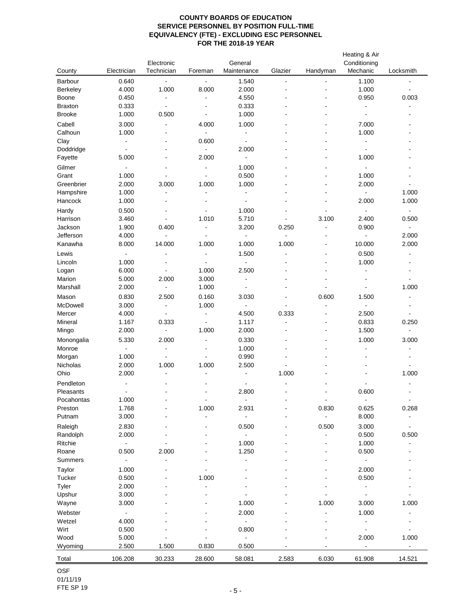|                      |                              | Electronic               |                          | General                          |                          |                | Heating & Air<br>Conditioning |                              |
|----------------------|------------------------------|--------------------------|--------------------------|----------------------------------|--------------------------|----------------|-------------------------------|------------------------------|
| County               | Electrician                  | Technician               | Foreman                  | Maintenance                      | Glazier                  | Handyman       | Mechanic                      | Locksmith                    |
| Barbour              | 0.640                        | $\Box$                   | $\blacksquare$           | 1.540                            | ÷                        |                | 1.100                         | $\blacksquare$               |
| Berkeley             | 4.000                        | 1.000                    | 8.000                    | 2.000                            |                          |                | 1.000                         | $\blacksquare$               |
| Boone                | 0.450                        | $\blacksquare$           | $\blacksquare$           | 4.550                            |                          |                | 0.950                         | 0.003                        |
| <b>Braxton</b>       | 0.333                        | $\blacksquare$           |                          | 0.333                            |                          |                | $\blacksquare$                | $\blacksquare$               |
| <b>Brooke</b>        | 1.000                        | 0.500                    | $\blacksquare$           | 1.000                            |                          |                | $\blacksquare$                | ä,                           |
| Cabell               | 3.000                        | $\overline{\phantom{a}}$ | 4.000                    | 1.000                            |                          |                | 7.000                         |                              |
| Calhoun              | 1.000                        | $\overline{\phantom{a}}$ | $\blacksquare$           | $\blacksquare$                   |                          |                | 1.000                         | $\blacksquare$               |
| Clay                 | $\blacksquare$               |                          | 0.600                    | $\blacksquare$                   |                          |                | $\blacksquare$                |                              |
| Doddridge            | $\blacksquare$               |                          | $\blacksquare$           | 2.000                            |                          |                | $\blacksquare$                |                              |
| Fayette              | 5.000                        |                          | 2.000                    | $\blacksquare$                   |                          |                | 1.000                         |                              |
| Gilmer               | $\blacksquare$               | $\overline{a}$           | $\blacksquare$           | 1.000                            |                          |                | $\sim$                        |                              |
| Grant                | 1.000                        | $\blacksquare$           | $\blacksquare$           | 0.500                            |                          |                | 1.000                         | $\blacksquare$               |
| Greenbrier           | 2.000                        | 3.000<br>$\overline{a}$  | 1.000<br>$\blacksquare$  | 1.000                            |                          |                | 2.000<br>$\blacksquare$       | $\overline{\phantom{a}}$     |
| Hampshire<br>Hancock | 1.000<br>1.000               |                          |                          | $\blacksquare$<br>$\blacksquare$ |                          |                | 2.000                         | 1.000<br>1.000               |
|                      |                              |                          |                          |                                  |                          |                |                               |                              |
| Hardy<br>Harrison    | 0.500<br>3.460               | $\blacksquare$           | $\blacksquare$<br>1.010  | 1.000<br>5.710                   |                          | 3.100          | 2.400                         | $\frac{1}{2}$                |
| Jackson              | 1.900                        | 0.400                    | $\blacksquare$           | 3.200                            | 0.250                    | $\blacksquare$ | 0.900                         | 0.500<br>$\blacksquare$      |
| Jefferson            | 4.000                        | $\blacksquare$           | $\blacksquare$           | $\Box$                           | $\blacksquare$           |                | $\blacksquare$                | 2.000                        |
| Kanawha              | 8.000                        | 14.000                   | 1.000                    | 1.000                            | 1.000                    |                | 10.000                        | 2.000                        |
| Lewis                | $\Box$                       | $\blacksquare$           | $\blacksquare$           | 1.500                            | $\blacksquare$           |                | 0.500                         | $\overline{a}$               |
| Lincoln              | 1.000                        | $\blacksquare$           | $\blacksquare$           | $\blacksquare$                   |                          | ٠              | 1.000                         | $\blacksquare$               |
| Logan                | 6.000                        | $\blacksquare$           | 1.000                    | 2.500                            |                          |                | $\blacksquare$                | $\overline{\phantom{a}}$     |
| Marion               | 5.000                        | 2.000                    | 3.000                    | $\blacksquare$                   |                          |                |                               | $\blacksquare$               |
| Marshall             | 2.000                        | $\blacksquare$           | 1.000                    | $\blacksquare$                   |                          | $\blacksquare$ | $\blacksquare$                | 1.000                        |
| Mason                | 0.830                        | 2.500                    | 0.160                    | 3.030                            | $\blacksquare$           | 0.600          | 1.500                         | $\blacksquare$               |
| McDowell             | 3.000                        | $\blacksquare$           | 1.000                    | $\sim$                           | $\overline{\phantom{a}}$ |                | $\blacksquare$                | $\qquad \qquad \blacksquare$ |
| Mercer               | 4.000                        | $\blacksquare$           | $\blacksquare$           | 4.500                            | 0.333                    |                | 2.500                         | $\blacksquare$               |
| Mineral              | 1.167                        | 0.333                    | $\blacksquare$           | 1.117                            | $\overline{\phantom{a}}$ | $\blacksquare$ | 0.833                         | 0.250                        |
| Mingo                | 2.000                        | $\overline{\phantom{a}}$ | 1.000                    | 2.000                            |                          |                | 1.500                         | $\overline{a}$               |
| Monongalia           | 5.330                        | 2.000                    | $\blacksquare$           | 0.330                            |                          |                | 1.000                         | 3.000                        |
| Monroe               | $\blacksquare$               | $\blacksquare$           |                          | 1.000                            |                          |                |                               | $\blacksquare$               |
| Morgan               | 1.000                        | $\blacksquare$           | $\overline{\phantom{a}}$ | 0.990                            |                          |                |                               | $\overline{\phantom{a}}$     |
| Nicholas             | 2.000                        | 1.000                    | 1.000                    | 2.500                            | $\blacksquare$           |                |                               | $\blacksquare$               |
| Ohio                 | 2.000                        | $\overline{\phantom{a}}$ | $\overline{\phantom{a}}$ | $\blacksquare$                   | 1.000                    |                |                               | 1.000                        |
| Pendleton            | $\blacksquare$               |                          |                          | $\blacksquare$                   | $\blacksquare$           |                |                               | $\overline{a}$               |
| Pleasants            | $\overline{a}$               | $\overline{\phantom{a}}$ |                          | 2.800                            |                          |                | 0.600                         | $\overline{\phantom{0}}$     |
| Pocahontas           | 1.000                        |                          | $\blacksquare$           | $\blacksquare$                   |                          | $\blacksquare$ | $\blacksquare$                | $\frac{1}{2}$                |
| Preston              | 1.768                        |                          | 1.000                    | 2.931                            |                          | 0.830          | 0.625                         | 0.268                        |
| Putnam               | 3.000                        |                          | L,                       | $\blacksquare$                   |                          | $\blacksquare$ | 8.000                         | L,                           |
| Raleigh              | 2.830                        |                          |                          | 0.500                            |                          | 0.500          | 3.000                         | $\overline{\phantom{a}}$     |
| Randolph             | 2.000                        |                          |                          | $\blacksquare$                   |                          |                | 0.500                         | 0.500                        |
| Ritchie              | $\blacksquare$               |                          |                          | 1.000                            |                          |                | 1.000                         |                              |
| Roane<br>Summers     | 0.500                        | 2.000                    |                          | 1.250                            |                          |                | 0.500                         |                              |
|                      |                              |                          |                          |                                  |                          |                |                               |                              |
| Taylor               | 1.000                        |                          |                          |                                  |                          |                | 2.000                         |                              |
| Tucker<br>Tyler      | 0.500<br>2.000               |                          | 1.000<br>Ĭ.              |                                  |                          |                | 0.500<br>$\blacksquare$       |                              |
| Upshur               | 3.000                        |                          |                          |                                  |                          |                |                               |                              |
| Wayne                | 3.000                        |                          |                          | 1.000                            |                          | 1.000          | 3.000                         | 1.000                        |
| Webster              | $\qquad \qquad \blacksquare$ |                          |                          | 2.000                            |                          |                | 1.000                         |                              |
| Wetzel               | 4.000                        |                          |                          |                                  |                          |                |                               |                              |
| Wirt                 | 0.500                        |                          |                          | 0.800                            |                          |                |                               |                              |
| Wood                 | 5.000                        |                          |                          |                                  |                          |                | 2.000                         | 1.000                        |
| Wyoming              | 2.500                        | 1.500                    | 0.830                    | 0.500                            |                          |                | ۰                             | $\blacksquare$               |
|                      |                              |                          |                          |                                  |                          |                |                               |                              |
| Total                | 106.208                      | 30.233                   | 28.600                   | 58.081                           | 2.583                    | 6.030          | 61.908                        | 14.521                       |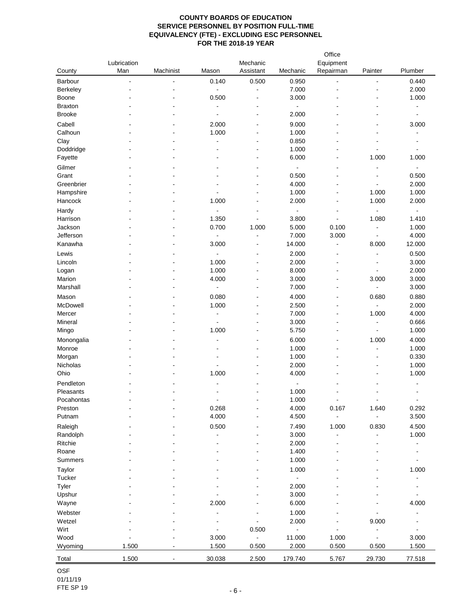| County               | Lubrication<br>Man | Machinist            | Mason          | Mechanic<br>Assistant    | Mechanic                 | Office<br>Equipment<br>Repairman | Painter                 | Plumber                      |
|----------------------|--------------------|----------------------|----------------|--------------------------|--------------------------|----------------------------------|-------------------------|------------------------------|
| Barbour              | ÷,                 | $\ddot{\phantom{a}}$ | 0.140          | 0.500                    | 0.950                    | ä,                               | ÷                       | 0.440                        |
| Berkeley             |                    |                      | $\blacksquare$ | ÷                        | 7.000                    |                                  |                         | 2.000                        |
| Boone                |                    |                      | 0.500          | ä,                       | 3.000                    |                                  |                         | 1.000                        |
| <b>Braxton</b>       |                    |                      | $\blacksquare$ | $\blacksquare$           | $\blacksquare$           |                                  | ۰                       | ÷,                           |
| <b>Brooke</b>        |                    |                      | $\blacksquare$ | $\blacksquare$           | 2.000                    |                                  |                         | ÷                            |
| Cabell               |                    |                      | 2.000          | ä,                       | 9.000                    |                                  |                         | 3.000                        |
| Calhoun              |                    |                      | 1.000          |                          | 1.000                    |                                  |                         | ä,                           |
|                      |                    |                      | ÷.             |                          | 0.850                    |                                  |                         |                              |
| Clay                 |                    |                      |                |                          |                          |                                  |                         |                              |
| Doddridge<br>Fayette |                    |                      |                |                          | 1.000<br>6.000           | $\blacksquare$                   | $\blacksquare$<br>1.000 | ٠<br>1.000                   |
|                      |                    |                      |                |                          |                          |                                  |                         |                              |
| Gilmer               |                    |                      |                |                          | $\blacksquare$           | $\overline{a}$                   |                         | -                            |
| Grant                |                    |                      | $\blacksquare$ | ۰                        | 0.500                    | $\blacksquare$                   | $\blacksquare$          | 0.500                        |
| Greenbrier           |                    |                      |                |                          | 4.000                    |                                  |                         | 2.000                        |
| Hampshire            |                    |                      |                |                          | 1.000                    |                                  | 1.000                   | 1.000                        |
| Hancock              |                    |                      | 1.000          |                          | 2.000                    | $\blacksquare$                   | 1.000                   | 2.000                        |
| Hardy                |                    |                      |                |                          | $\blacksquare$           | $\blacksquare$                   |                         | $\frac{1}{2}$                |
| Harrison             |                    |                      | 1.350          | ä,                       | 3.800                    | $\blacksquare$                   | 1.080                   | 1.410                        |
| Jackson              |                    |                      | 0.700          | 1.000                    | 5.000                    | 0.100                            | $\blacksquare$          | 1.000                        |
| Jefferson            |                    |                      | $\frac{1}{2}$  | $\overline{\phantom{0}}$ | 7.000                    | 3.000                            | $\blacksquare$          | 4.000                        |
| Kanawha              |                    |                      | 3.000          | ÷                        | 14.000                   | $\blacksquare$                   | 8.000                   | 12.000                       |
| Lewis                |                    |                      | $\blacksquare$ | $\blacksquare$           | 2.000                    | $\blacksquare$                   | $\overline{a}$          | 0.500                        |
| Lincoln              |                    |                      | 1.000          | $\overline{a}$           | 2.000                    | $\overline{a}$                   | $\overline{a}$          | 3.000                        |
| Logan                |                    |                      | 1.000          | $\blacksquare$           | 8.000                    | $\blacksquare$                   | $\blacksquare$          | 2.000                        |
| Marion               |                    |                      | 4.000          | $\overline{a}$           | 3.000                    | $\overline{a}$                   | 3.000                   | 3.000                        |
| Marshall             |                    |                      | $\blacksquare$ | $\overline{a}$           | 7.000                    | $\overline{a}$                   | ÷                       | 3.000                        |
|                      |                    |                      |                |                          |                          |                                  |                         |                              |
| Mason                |                    |                      | 0.080          | $\blacksquare$           | 4.000                    | $\blacksquare$                   | 0.680                   | 0.880                        |
| McDowell             |                    |                      | 1.000          |                          | 2.500                    | $\blacksquare$                   |                         | 2.000                        |
| Mercer               |                    |                      | $\blacksquare$ | ä,                       | 7.000                    | $\overline{a}$                   | 1.000                   | 4.000                        |
| Mineral              |                    |                      |                |                          | 3.000                    | $\blacksquare$                   |                         | 0.666                        |
| Mingo                |                    |                      | 1.000          |                          | 5.750                    | $\blacksquare$                   | $\blacksquare$          | 1.000                        |
| Monongalia           |                    |                      |                |                          | 6.000                    |                                  | 1.000                   | 4.000                        |
| Monroe               |                    |                      |                |                          | 1.000                    |                                  | ä,                      | 1.000                        |
| Morgan               |                    |                      |                |                          | 1.000                    |                                  |                         | 0.330                        |
| Nicholas             |                    |                      | $\blacksquare$ |                          | 2.000                    | $\blacksquare$                   | ۰                       | 1.000                        |
| Ohio                 |                    |                      | 1.000          |                          | 4.000                    |                                  |                         | 1.000                        |
| Pendleton            |                    |                      | ٠              |                          | $\overline{\phantom{a}}$ |                                  |                         |                              |
| Pleasants            |                    |                      | $\blacksquare$ |                          | 1.000                    |                                  |                         | ÷.                           |
| Pocahontas           |                    |                      | $\blacksquare$ |                          | 1.000                    | $\overline{\phantom{a}}$         | $\blacksquare$          | $\blacksquare$               |
| Preston              |                    |                      | 0.268          |                          | 4.000                    | 0.167                            | 1.640                   | 0.292                        |
| Putnam               |                    |                      | 4.000          |                          | 4.500                    | $\blacksquare$                   | $\blacksquare$          | 3.500                        |
|                      |                    |                      |                |                          |                          |                                  |                         |                              |
| Raleigh              |                    |                      | 0.500          |                          | 7.490                    | 1.000                            | 0.830                   | 4.500                        |
| Randolph             |                    |                      | $\overline{a}$ |                          | 3.000                    | $\blacksquare$                   |                         | 1.000                        |
| Ritchie              |                    |                      |                |                          | 2.000                    |                                  |                         | $\qquad \qquad \blacksquare$ |
| Roane                |                    |                      |                |                          | 1.400                    |                                  |                         |                              |
| Summers              |                    |                      |                |                          | 1.000                    |                                  |                         | $\blacksquare$               |
| Taylor               |                    |                      |                |                          | 1.000                    |                                  |                         | 1.000                        |
| Tucker               |                    |                      |                |                          | $\blacksquare$           |                                  |                         | $\blacksquare$               |
| Tyler                |                    |                      |                |                          | 2.000                    |                                  |                         |                              |
| Upshur               |                    |                      |                |                          | 3.000                    |                                  |                         | -                            |
| Wayne                |                    |                      | 2.000          |                          | 6.000                    |                                  |                         | 4.000                        |
| Webster              |                    |                      |                |                          | 1.000                    |                                  |                         |                              |
| Wetzel               |                    |                      |                |                          | 2.000                    |                                  | 9.000                   |                              |
| Wirt                 |                    |                      | $\overline{a}$ | 0.500                    | $\blacksquare$           |                                  |                         | $\blacksquare$               |
| Wood                 |                    |                      | 3.000          | ÷,                       | 11.000                   | 1.000                            |                         | 3.000                        |
| Wyoming              | 1.500              |                      | 1.500          | 0.500                    | 2.000                    | 0.500                            | 0.500                   | 1.500                        |
|                      |                    |                      |                |                          |                          |                                  |                         |                              |
|                      | 1.500              |                      | 30.038         |                          |                          |                                  |                         | 77.518                       |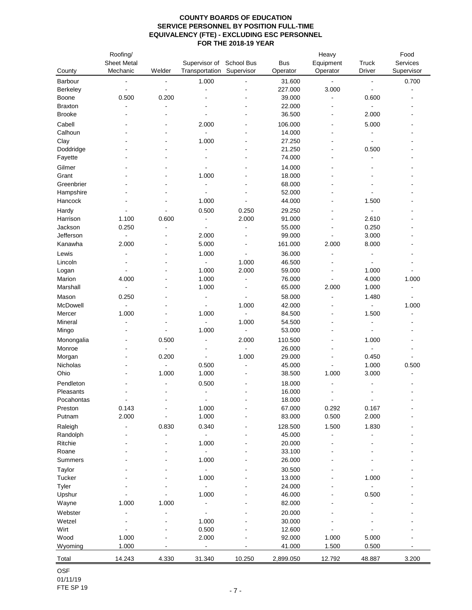|                 | Roofing/                 |                |                              |                          |            | Heavy                    |                          | Food                     |
|-----------------|--------------------------|----------------|------------------------------|--------------------------|------------|--------------------------|--------------------------|--------------------------|
|                 | <b>Sheet Metal</b>       |                | Supervisor of                | School Bus               | <b>Bus</b> | Equipment                | Truck                    | Services                 |
| County          | Mechanic                 | Welder         | Transportation               | Supervisor               | Operator   | Operator                 | <b>Driver</b>            | Supervisor               |
| Barbour         | ÷                        | $\blacksquare$ | 1.000                        |                          | 31.600     | $\blacksquare$           | $\blacksquare$           | 0.700                    |
| Berkeley        | $\blacksquare$           | ÷,             | $\overline{a}$               |                          | 227.000    | 3.000                    | $\ddot{\phantom{a}}$     |                          |
| Boone           | 0.500                    | 0.200          |                              |                          | 39.000     | ä,                       | 0.600                    |                          |
| <b>Braxton</b>  |                          |                |                              |                          | 22.000     |                          | $\blacksquare$           |                          |
| <b>Brooke</b>   |                          |                |                              |                          | 36.500     | L,                       | 2.000                    |                          |
| Cabell          |                          |                | 2.000                        | L,                       | 106.000    | $\blacksquare$           | 5.000                    |                          |
| Calhoun         |                          |                | ä,                           |                          | 14.000     |                          | ÷,                       |                          |
| Clay            |                          |                | 1.000                        |                          | 27.250     |                          | ÷,                       |                          |
| Doddridge       |                          |                | $\blacksquare$               |                          | 21.250     | $\overline{\phantom{a}}$ | 0.500                    |                          |
| Fayette         |                          |                |                              |                          | 74.000     |                          |                          |                          |
| Gilmer          |                          |                |                              |                          | 14.000     |                          |                          |                          |
| Grant           |                          |                | 1.000                        |                          | 18.000     |                          |                          |                          |
| Greenbrier      |                          |                | ۰                            |                          | 68.000     |                          |                          |                          |
| Hampshire       |                          | ä,             | ä,                           |                          | 52.000     |                          | $\overline{\phantom{a}}$ |                          |
| Hancock         |                          |                | 1.000                        |                          | 44.000     |                          | 1.500                    |                          |
| Hardy           |                          |                | 0.500                        | 0.250                    | 29.250     |                          | $\blacksquare$           |                          |
| Harrison        | 1.100                    | 0.600          | $\blacksquare$               | 2.000                    | 91.000     | $\blacksquare$           | 2.610                    |                          |
| Jackson         | 0.250                    | $\overline{a}$ | $\overline{\phantom{a}}$     | $\overline{a}$           | 55.000     | $\blacksquare$           | 0.250                    |                          |
| Jefferson       | $\overline{\phantom{a}}$ |                | 2.000                        |                          | 99.000     |                          | 3.000                    |                          |
| Kanawha         | 2.000                    |                | 5.000                        | L,                       | 161.000    | 2.000                    | 8.000                    |                          |
|                 |                          |                |                              |                          |            |                          |                          |                          |
| Lewis           |                          |                | 1.000                        | ä,                       | 36.000     |                          | ÷,                       |                          |
| Lincoln         |                          |                | $\blacksquare$               | 1.000                    | 46.500     |                          | ÷,                       |                          |
| Logan<br>Marion |                          |                | 1.000                        | 2.000                    | 59.000     | $\blacksquare$           | 1.000                    |                          |
|                 | 4.000                    |                | 1.000                        | $\overline{a}$           | 76.000     | $\blacksquare$           | 4.000                    | 1.000                    |
| Marshall        |                          |                | 1.000                        | $\overline{\phantom{a}}$ | 65.000     | 2.000                    | 1.000                    |                          |
| Mason           | 0.250                    |                | $\blacksquare$               |                          | 58.000     |                          | 1.480                    |                          |
| McDowell        |                          |                |                              | 1.000                    | 42.000     |                          |                          | 1.000                    |
| Mercer          | 1.000                    |                | 1.000                        | $\blacksquare$           | 84.500     |                          | 1.500                    |                          |
| Mineral         | $\blacksquare$           |                | $\blacksquare$               | 1.000                    | 54.500     | $\blacksquare$           | $\blacksquare$           |                          |
| Mingo           |                          | $\overline{a}$ | 1.000                        | $\blacksquare$           | 53.000     |                          | $\ddot{\phantom{a}}$     |                          |
| Monongalia      |                          | 0.500          | $\overline{\phantom{0}}$     | 2.000                    | 110.500    |                          | 1.000                    |                          |
| Monroe          |                          | $\blacksquare$ | ۰                            | $\blacksquare$           | 26.000     | $\overline{\phantom{a}}$ | $\blacksquare$           |                          |
| Morgan          |                          | 0.200          | ä,                           | 1.000                    | 29.000     | $\overline{a}$           | 0.450                    |                          |
| Nicholas        |                          | $\blacksquare$ | 0.500                        |                          | 45.000     |                          | 1.000                    | 0.500                    |
| Ohio            |                          | 1.000          | 1.000                        |                          | 38.500     | 1.000                    | 3.000                    |                          |
| Pendleton       |                          |                | 0.500                        |                          | 18.000     |                          |                          |                          |
| Pleasants       |                          | $\blacksquare$ | $\blacksquare$               |                          | 16.000     | L,                       | L,                       | $\overline{\phantom{a}}$ |
| Pocahontas      | $\blacksquare$           |                | $\blacksquare$               |                          | 18.000     | $\blacksquare$           | $\blacksquare$           |                          |
| Preston         | 0.143                    |                | 1.000                        |                          | 67.000     | 0.292                    | 0.167                    |                          |
| Putnam          | 2.000                    |                | 1.000                        |                          | 83.000     | 0.500                    | 2.000                    |                          |
| Raleigh         |                          | 0.830          | 0.340                        |                          | 128.500    | 1.500                    | 1.830                    |                          |
| Randolph        |                          |                |                              |                          | 45.000     |                          |                          |                          |
| Ritchie         |                          |                | 1.000                        |                          | 20.000     |                          |                          |                          |
| Roane           |                          |                | ÷,                           |                          | 33.100     |                          |                          |                          |
| Summers         |                          |                | 1.000                        |                          | 26.000     |                          |                          |                          |
| Taylor          |                          |                | $\qquad \qquad \blacksquare$ |                          | 30.500     |                          |                          |                          |
| Tucker          |                          |                | 1.000                        |                          | 13.000     |                          | 1.000                    |                          |
| Tyler           |                          |                |                              |                          | 24.000     |                          |                          |                          |
| Upshur          |                          |                | 1.000                        |                          | 46.000     |                          | 0.500                    |                          |
| Wayne           | 1.000                    | 1.000          |                              |                          | 82.000     |                          |                          |                          |
| Webster         |                          |                |                              |                          | 20.000     |                          |                          |                          |
| Wetzel          |                          |                | 1.000                        |                          | 30.000     |                          |                          |                          |
| Wirt            |                          |                | 0.500                        |                          | 12.600     |                          |                          |                          |
| Wood            | 1.000                    |                | 2.000                        |                          | 92.000     | 1.000                    | 5.000                    |                          |
| Wyoming         | 1.000                    |                | $\overline{\phantom{0}}$     |                          | 41.000     | 1.500                    | 0.500                    |                          |
| Total           | 14.243                   | 4.330          | 31.340                       | 10.250                   | 2,899.050  | 12.792                   | 48.887                   | 3.200                    |
|                 |                          |                |                              |                          |            |                          |                          |                          |